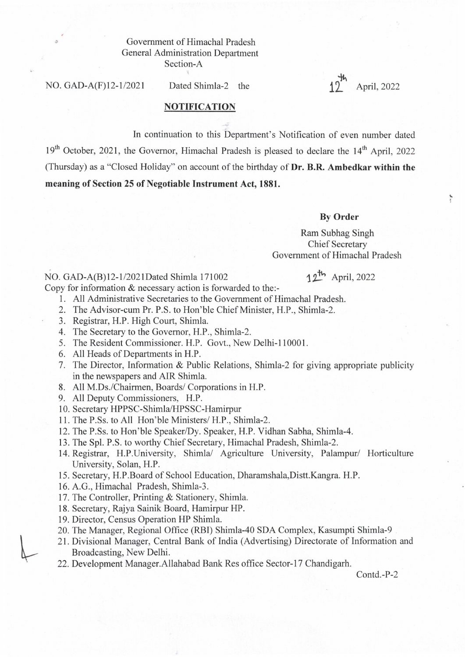## Government of Himachal Pradesh General Administration Department Section-A

NO. GAD-A(F)12-1/2021 Dated Shimla-2 the  $11^{11}$  April, 2022

,. , ,

## NOTIFICATION

In continuation to this Department's Notification of even number dated  $19<sup>th</sup>$  October, 2021, the Governor, Himachal Pradesh is pleased to declare the  $14<sup>th</sup>$  April, 2022 (Thursday) as a "Closed Holiday" on account of the birthday of Dr. B.R. Ambedkar within the meaning of Section 25 of Negotiable Instrument Act, 1881.

## By Order

Ram Subhag Singh Chief Secretary Government of Himachal Pradesh

## NO. GAD-A(B)12-1/2021Dated Shimla 171002 12<sup>th</sup> April, 2022

Copy for information & necessary action is forwarded to the:-

- 1. All Administrative Secretaries to the Government of Himachal Pradesh.
- 2. The Advisor-cum Pr. P.S. to Hon'ble Chief Minister, H.P., Shimla-2.
- 3. Registrar, H.P. High Court, Shimla.
- 4. The Secretary to the Governor, H.P., Shimla-2.
- 5. The Resident Commissioner. H.P. Govt., New Delhi-lI000l.
- 6. All Heads of Departments in H.P.
- 7. The Director, Information & Public Relations, Shimla-2 for giving appropriate publicity in the newspapers and AIR Shimla.
- 8. All M.Ds./Chairmen, Boards/ Corporations in H.P.
- 9. All Deputy Commissioners, H.P.
- 10. Secretary HPPSC-Shimla/HPSSC-Hamirpur
- 11. The P.Ss. to All Hon' ble Ministers/ H.P., Shimla-2.
- 12. The P.Ss. to Hon' ble Speaker/Dy. Speaker, H.P. Vidhan Sabha, Shimla-4.
- 13. The SpI. P.S. to worthy Chief Secretary, Himachal Pradesh, Shimla-2.
- 14. Registrar, H.P.University, Shimla/ Agriculture University, Palampur/ Horticulture University, Solan, H.P.
- 15. Secretary, H.P.Board of School Education, Dharamshala,Distt.Kangra. H.P.
- 16. A.G., Himachal Pradesh, Shimla-3 .
- 17. The Controller, Printing & Stationery, Shimla.
- 18. Secretary, Rajya Sainik Board, Hamirpur HP.
- 19. Director, Census Operation HP Shimla.
- 20. The Manager, Regional Office (RBI) Shimla-40 SDA Complex, Kasumpti Shimla-9
- 21. Divisional Manager, Central Bank of India (Advertising) Directorate of Information and Broadcasting, New Delhi.
- 22. Development Manager.Allahabad Bank Res office Sector-17 Chandigarh.

Contd.-P-2